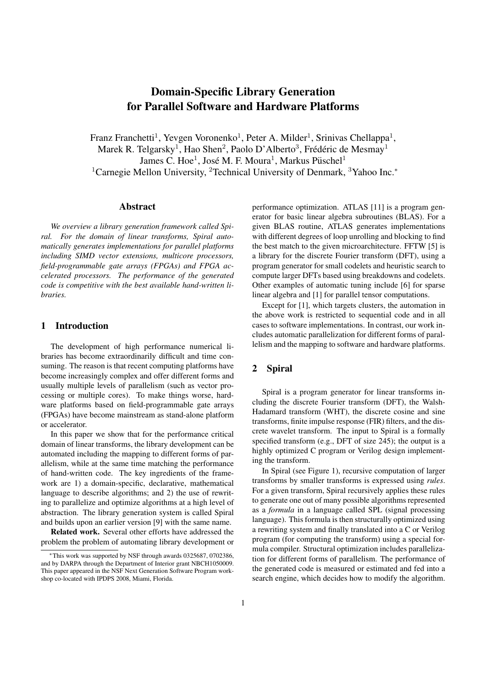# **Domain-Specific Library Generation for Parallel Software and Hardware Platforms**

Franz Franchetti<sup>1</sup>, Yevgen Voronenko<sup>1</sup>, Peter A. Milder<sup>1</sup>, Srinivas Chellappa<sup>1</sup>, Marek R. Telgarsky<sup>1</sup>, Hao Shen<sup>2</sup>, Paolo D'Alberto<sup>3</sup>, Frédéric de Mesmay<sup>1</sup> James C. Hoe<sup>1</sup>, José M. F. Moura<sup>1</sup>, Markus Püschel<sup>1</sup> <sup>1</sup>Carnegie Mellon University, <sup>2</sup>Technical University of Denmark, <sup>3</sup>Yahoo Inc.<sup>∗</sup>

#### **Abstract**

*We overview a library generation framework called Spiral. For the domain of linear transforms, Spiral automatically generates implementations for parallel platforms including SIMD vector extensions, multicore processors, field-programmable gate arrays (FPGAs) and FPGA accelerated processors. The performance of the generated code is competitive with the best available hand-written libraries.*

# **1 Introduction**

The development of high performance numerical libraries has become extraordinarily difficult and time consuming. The reason is that recent computing platforms have become increasingly complex and offer different forms and usually multiple levels of parallelism (such as vector processing or multiple cores). To make things worse, hardware platforms based on field-programmable gate arrays (FPGAs) have become mainstream as stand-alone platform or accelerator.

In this paper we show that for the performance critical domain of linear transforms, the library development can be automated including the mapping to different forms of parallelism, while at the same time matching the performance of hand-written code. The key ingredients of the framework are 1) a domain-specific, declarative, mathematical language to describe algorithms; and 2) the use of rewriting to parallelize and optimize algorithms at a high level of abstraction. The library generation system is called Spiral and builds upon an earlier version [9] with the same name.

**Related work.** Several other efforts have addressed the problem the problem of automating library development or performance optimization. ATLAS [11] is a program generator for basic linear algebra subroutines (BLAS). For a given BLAS routine, ATLAS generates implementations with different degrees of loop unrolling and blocking to find the best match to the given microarchitecture. FFTW [5] is a library for the discrete Fourier transform (DFT), using a program generator for small codelets and heuristic search to compute larger DFTs based using breakdowns and codelets. Other examples of automatic tuning include [6] for sparse linear algebra and [1] for parallel tensor computations.

Except for [1], which targets clusters, the automation in the above work is restricted to sequential code and in all cases to software implementations. In contrast, our work includes automatic parallelization for different forms of parallelism and the mapping to software and hardware platforms.

#### **2 Spiral**

Spiral is a program generator for linear transforms including the discrete Fourier transform (DFT), the Walsh-Hadamard transform (WHT), the discrete cosine and sine transforms, finite impulse response (FIR) filters, and the discrete wavelet transform. The input to Spiral is a formally specified transform (e.g., DFT of size 245); the output is a highly optimized C program or Verilog design implementing the transform.

In Spiral (see Figure 1), recursive computation of larger transforms by smaller transforms is expressed using *rules*. For a given transform, Spiral recursively applies these rules to generate one out of many possible algorithms represented as a *formula* in a language called SPL (signal processing language). This formula is then structurally optimized using a rewriting system and finally translated into a C or Verilog program (for computing the transform) using a special formula compiler. Structural optimization includes parallelization for different forms of parallelism. The performance of the generated code is measured or estimated and fed into a search engine, which decides how to modify the algorithm.

<sup>∗</sup>This work was supported by NSF through awards 0325687, 0702386, and by DARPA through the Department of Interior grant NBCH1050009. This paper appeared in the NSF Next Generation Software Program workshop co-located with IPDPS 2008, Miami, Florida.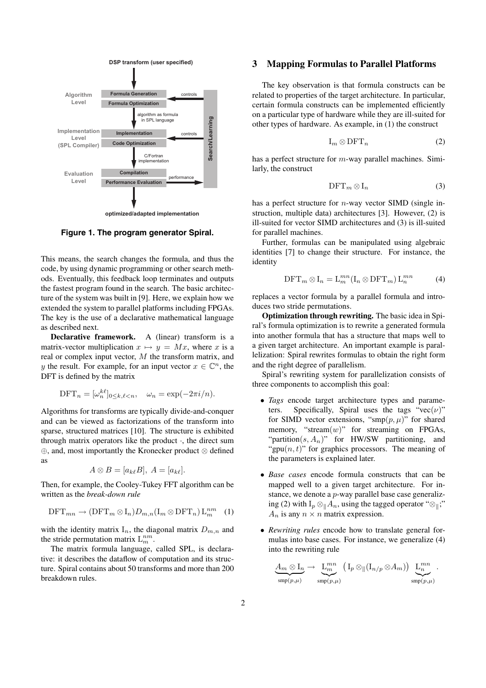

**Figure 1. The program generator Spiral.**

This means, the search changes the formula, and thus the code, by using dynamic programming or other search methods. Eventually, this feedback loop terminates and outputs the fastest program found in the search. The basic architecture of the system was built in [9]. Here, we explain how we extended the system to parallel platforms including FPGAs. The key is the use of a declarative mathematical language as described next.

**Declarative framework.** A (linear) transform is a matrix-vector multiplication  $x \mapsto y = Mx$ , where x is a real or complex input vector, M the transform matrix, and y the result. For example, for an input vector  $x \in \mathbb{C}^n$ , the DFT is defined by the matrix

$$
\text{DFT}_n = [\omega_n^{k\ell}]_{0 \le k,\ell < n}, \quad \omega_n = \exp(-2\pi i/n).
$$

Algorithms for transforms are typically divide-and-conquer and can be viewed as factorizations of the transform into sparse, structured matrices [10]. The structure is exhibited through matrix operators like the product ·, the direct sum ⊕, and, most importantly the Kronecker product ⊗ defined as

$$
A \otimes B = [a_{k\ell}B], A = [a_{k\ell}].
$$

Then, for example, the Cooley-Tukey FFT algorithm can be written as the *break-down rule*

$$
\text{DFT}_{mn} \to (\text{DFT}_m \otimes I_n) D_{m,n} (I_m \otimes \text{DFT}_n) L_m^{nm} \quad (1)
$$

with the identity matrix  $I_n$ , the diagonal matrix  $D_{m,n}$  and the stride permutation matrix  $L_m^{nm}$ .

The matrix formula language, called SPL, is declarative: it describes the dataflow of computation and its structure. Spiral contains about 50 transforms and more than 200 breakdown rules.

## **3 Mapping Formulas to Parallel Platforms**

The key observation is that formula constructs can be related to properties of the target architecture. In particular, certain formula constructs can be implemented efficiently on a particular type of hardware while they are ill-suited for other types of hardware. As example, in (1) the construct

$$
I_m \otimes DFT_n \tag{2}
$$

has a perfect structure for m-way parallel machines. Similarly, the construct

$$
\text{DFT}_m \otimes I_n \tag{3}
$$

has a perfect structure for *n*-way vector SIMD (single instruction, multiple data) architectures [3]. However, (2) is ill-suited for vector SIMD architectures and (3) is ill-suited for parallel machines.

Further, formulas can be manipulated using algebraic identities [7] to change their structure. For instance, the identity

$$
\text{DFT}_m \otimes I_n = \mathcal{L}_m^{mn}(\mathcal{I}_n \otimes \text{DFT}_m) \mathcal{L}_n^{mn} \tag{4}
$$

replaces a vector formula by a parallel formula and introduces two stride permutations.

**Optimization through rewriting.** The basic idea in Spiral's formula optimization is to rewrite a generated formula into another formula that has a structure that maps well to a given target architecture. An important example is parallelization: Spiral rewrites formulas to obtain the right form and the right degree of parallelism.

Spiral's rewriting system for parallelization consists of three components to accomplish this goal:

- *Tags* encode target architecture types and parame-<br>ters. Specifically, Spiral uses the tags "vec( $\nu$ )" Specifically, Spiral uses the tags "vec( $\nu$ )" for SIMD vector extensions, "smp $(p, \mu)$ " for shared memory, "stream $(w)$ " for streaming on FPGAs, "partition( $s, A_n$ )" for HW/SW partitioning, and "gpu $(n, t)$ " for graphics processors. The meaning of the parameters is explained later.
- *Base cases* encode formula constructs that can be mapped well to a given target architecture. For instance, we denote a *p*-way parallel base case generalizing (2) with  $I_p \otimes_{\parallel} A_n$ , using the tagged operator " $\otimes_{\parallel}$ ;"  $A_n$  is any  $n \times n$  matrix expression.
- *Rewriting rules* encode how to translate general formulas into base cases. For instance, we generalize (4) into the rewriting rule

$$
\underline{\underline{\mathcal{A}}_m \otimes \underline{\mathcal{I}}_n} \to \underline{\underline{\mathcal{L}}_m^{mn}} \left( \underline{\mathcal{I}}_p \otimes_{\parallel} (\underline{\mathcal{I}}_{n/p} \otimes \underline{\mathcal{A}}_m) \right) \underline{\underline{\mathcal{L}}_n^{mn}} \cdot \underline{\underline{\mathcal{S}}_m^{mn} \cdot \underline{\mathcal{S}}_m^{mn} \cdot \underline{\mathcal{S}}_m^{mn} \cdot \underline{\mathcal{S}}_m^{mn} \cdot \underline{\mathcal{S}}_m^{mn} \cdot \underline{\mathcal{S}}_m^{mn} \cdot \underline{\mathcal{S}}_m^{mn} \cdot \underline{\mathcal{S}}_m^{mn} \cdot \underline{\mathcal{S}}_m^{mn} \cdot \underline{\mathcal{S}}_m^{mn} \cdot \underline{\mathcal{S}}_m^{mn} \cdot \underline{\mathcal{S}}_m^{mn} \cdot \underline{\mathcal{S}}_m^{mn} \cdot \underline{\mathcal{S}}_m^{mn} \cdot \underline{\mathcal{S}}_m^{mn} \cdot \underline{\mathcal{S}}_m^{mn} \cdot \underline{\mathcal{S}}_m^{mn} \cdot \underline{\mathcal{S}}_m^{mn} \cdot \underline{\mathcal{S}}_m^{mn} \cdot \underline{\mathcal{S}}_m^{mn} \cdot \underline{\mathcal{S}}_m^{mn} \cdot \underline{\mathcal{S}}_m^{mn} \cdot \underline{\mathcal{S}}_m^{mn} \cdot \underline{\mathcal{S}}_m^{mn} \cdot \underline{\mathcal{S}}_m^{mn} \cdot \underline{\mathcal{S}}_m^{mn} \cdot \underline{\mathcal{S}}_m^{mn} \cdot \underline{\mathcal{S}}_m^{mn} \cdot \underline{\mathcal{S}}_m^{mn} \cdot \underline{\mathcal{S}}_m^{mn} \cdot \underline{\mathcal{S}}_m^{mn} \cdot \underline{\mathcal{S}}_m^{mn} \cdot \underline{\mathcal{S}}_m^{mn} \cdot \underline{\mathcal{S}}_m^{mn} \cdot \underline{\mathcal{S}}_m^{mn} \cdot \underline{\mathcal{S}}_m^{mn} \cdot \underline{\mathcal{S}}_m^{mn} \cdot \underline{\mathcal{S}}_m^{mn} \cdot \underline{\mathcal{S}}_m^{mn} \cdot \underline{\mathcal{S}}_m^{mn} \cdot \underline{\mathcal{S}}_m^{mn} \cdot \underline{\mathcal{S}}_m^{mn} \cdot \underline{\mathcal{S}}_m^{mn} \cdot \underline{\math
$$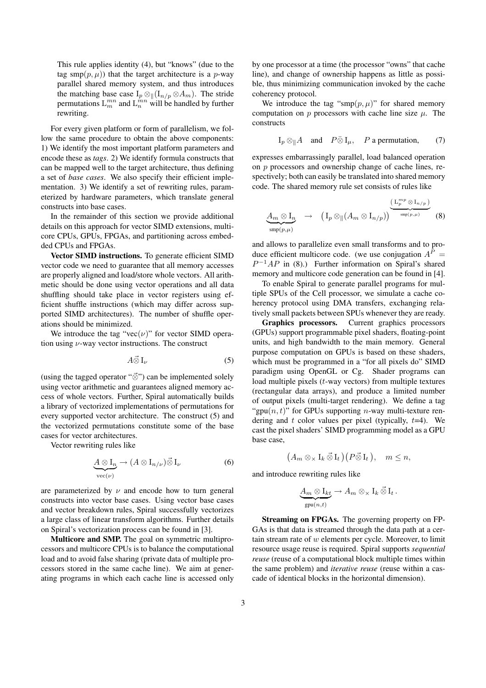This rule applies identity (4), but "knows" (due to the tag smp $(p, \mu)$ ) that the target architecture is a p-way parallel shared memory system, and thus introduces the matching base case  $I_p \otimes ||(I_{n/p} \otimes A_m)$ . The stride permutations  $L_m^{mn}$  and  $L_n^{mn}$  will be handled by further rewriting.

For every given platform or form of parallelism, we follow the same procedure to obtain the above components: 1) We identify the most important platform parameters and encode these as *tags*. 2) We identify formula constructs that can be mapped well to the target architecture, thus defining a set of *base cases*. We also specify their efficient implementation. 3) We identify a set of rewriting rules, parameterized by hardware parameters, which translate general constructs into base cases.

In the remainder of this section we provide additional details on this approach for vector SIMD extensions, multicore CPUs, GPUs, FPGAs, and partitioning across embedded CPUs and FPGAs.

**Vector SIMD instructions.** To generate efficient SIMD vector code we need to guarantee that all memory accesses are properly aligned and load/store whole vectors. All arithmetic should be done using vector operations and all data shuffling should take place in vector registers using efficient shuffle instructions (which may differ across supported SIMD architectures). The number of shuffle operations should be minimized.

We introduce the tag "vec $(\nu)$ " for vector SIMD operation using  $\nu$ -way vector instructions. The construct

$$
A\vec{\otimes}I_{\nu}\tag{5}
$$

(using the tagged operator "⊗ ") can be implemented solely using vector arithmetic and guarantees aligned memory access of whole vectors. Further, Spiral automatically builds a library of vectorized implementations of permutations for every supported vector architecture. The construct (5) and the vectorized permutations constitute some of the base cases for vector architectures.

Vector rewriting rules like

$$
\underbrace{A \otimes I_n}_{\text{vec}(\nu)} \to (A \otimes I_{n/\nu}) \vec{\otimes} I_{\nu} \tag{6}
$$

are parameterized by  $\nu$  and encode how to turn general constructs into vector base cases. Using vector base cases and vector breakdown rules, Spiral successfully vectorizes a large class of linear transform algorithms. Further details on Spiral's vectorization process can be found in [3].

**Multicore and SMP.** The goal on symmetric multiprocessors and multicore CPUs is to balance the computational load and to avoid false sharing (private data of multiple processors stored in the same cache line). We aim at generating programs in which each cache line is accessed only by one processor at a time (the processor "owns" that cache line), and change of ownership happens as little as possible, thus minimizing communication invoked by the cache coherency protocol.

We introduce the tag "smp $(p, \mu)$ " for shared memory computation on p processors with cache line size  $\mu$ . The constructs

$$
I_p \otimes_{\parallel} A
$$
 and  $P \bar{\otimes} I_{\mu}$ , P a permutation, (7)

expresses embarrassingly parallel, load balanced operation on p processors and ownership change of cache lines, respectively; both can easily be translated into shared memory code. The shared memory rule set consists of rules like

$$
\underline{A_m \otimes I_n} \longrightarrow (\mathrm{I}_p \otimes_{\parallel} (A_m \otimes \mathrm{I}_{n/p}))^{\underbrace{(\mathrm{L}_p^{mp} \otimes \mathrm{I}_{n/p})}_{\text{sup}(p,\mu)}}
$$
(8)

and allows to parallelize even small transforms and to produce efficient multicore code. (we use conjugation  $A^P =$  $P^{-1}AP$  in (8).) Further information on Spiral's shared memory and multicore code generation can be found in [4].

To enable Spiral to generate parallel programs for multiple SPUs of the Cell processor, we simulate a cache coherency protocol using DMA transfers, exchanging relatively small packets between SPUs whenever they are ready.

**Graphics processors.** Current graphics processors (GPUs) support programmable pixel shaders, floating-point units, and high bandwidth to the main memory. General purpose computation on GPUs is based on these shaders, which must be programmed in a "for all pixels do" SIMD paradigm using OpenGL or Cg. Shader programs can load multiple pixels  $(t$ -way vectors) from multiple textures (rectangular data arrays), and produce a limited number of output pixels (multi-target rendering). We define a tag "gpu $(n, t)$ " for GPUs supporting *n*-way multi-texture rendering and  $t$  color values per pixel (typically,  $t=4$ ). We cast the pixel shaders' SIMD programming model as a GPU base case,

$$
(A_m \otimes_{\times} I_k \mathbin{\vec{\otimes}} I_t)(P \mathbin{\vec{\otimes}} I_t), \quad m \leq n,
$$

and introduce rewriting rules like

$$
\underbrace{A_m \otimes I_{kt}}_{\text{gpu}(n,t)} \to A_m \otimes_{\times} I_k \otimes I_t.
$$

**Streaming on FPGAs.** The governing property on FP-GAs is that data is streamed through the data path at a certain stream rate of  $w$  elements per cycle. Moreover, to limit resource usage reuse is required. Spiral supports *sequential reuse* (reuse of a computational block multiple times within the same problem) and *iterative reuse* (reuse within a cascade of identical blocks in the horizontal dimension).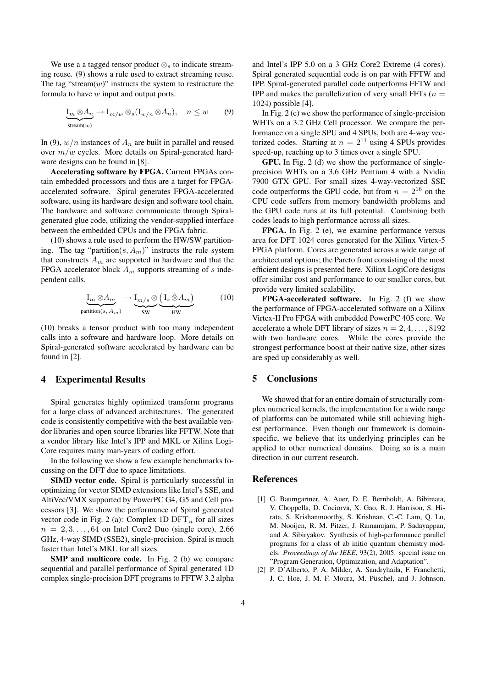We use a a tagged tensor product  $\otimes_s$  to indicate streaming reuse. (9) shows a rule used to extract streaming reuse. The tag "stream $(w)$ " instructs the system to restructure the formula to have w input and output ports.

$$
\underbrace{\mathrm{I}_m \otimes A_n}_{\mathrm{stream}(w)} \to \mathrm{I}_{m/w} \otimes_s (\mathrm{I}_{w/n} \otimes A_n), \quad n \le w \tag{9}
$$

In (9),  $w/n$  instances of  $A_n$  are built in parallel and reused over  $m/w$  cycles. More details on Spiral-generated hardware designs can be found in [8].

**Accelerating software by FPGA.** Current FPGAs contain embedded processors and thus are a target for FPGAaccelerated software. Spiral generates FPGA-accelerated software, using its hardware design and software tool chain. The hardware and software communicate through Spiralgenerated glue code, utilizing the vendor-supplied interface between the embedded CPUs and the FPGA fabric.

(10) shows a rule used to perform the HW/SW partitioning. The tag "partition( $s, A_m$ )" instructs the rule system that constructs  $A_m$  are supported in hardware and that the FPGA accelerator block  $A_m$  supports streaming of s independent calls.

$$
\underbrace{\mathrm{I}_m \otimes A_m}_{\text{partition}(s, A_m)} \rightarrow \underbrace{\mathrm{I}_{m/s} \otimes (\mathrm{I}_s \tilde{\otimes} A_m)}_{\text{SW}} \tag{10}
$$

(10) breaks a tensor product with too many independent calls into a software and hardware loop. More details on Spiral-generated software accelerated by hardware can be found in [2].

## **4 Experimental Results**

Spiral generates highly optimized transform programs for a large class of advanced architectures. The generated code is consistently competitive with the best available vendor libraries and open source libraries like FFTW. Note that a vendor library like Intel's IPP and MKL or Xilinx Logi-Core requires many man-years of coding effort.

In the following we show a few example benchmarks focussing on the DFT due to space limitations.

**SIMD vector code.** Spiral is particularly successful in optimizing for vector SIMD extensions like Intel's SSE, and AltiVec/VMX supported by PowerPC G4, G5 and Cell processors [3]. We show the performance of Spiral generated vector code in Fig. 2 (a): Complex 1D  $DFT_n$  for all sizes  $n = 2, 3, \ldots, 64$  on Intel Core2 Duo (single core), 2.66 GHz, 4-way SIMD (SSE2), single-precision. Spiral is much faster than Intel's MKL for all sizes.

**SMP and multicore code.** In Fig. 2 (b) we compare sequential and parallel performance of Spiral generated 1D complex single-precision DFT programs to FFTW 3.2 alpha and Intel's IPP 5.0 on a 3 GHz Core2 Extreme (4 cores). Spiral generated sequential code is on par with FFTW and IPP. Spiral-generated parallel code outperforms FFTW and IPP and makes the parallelization of very small FFTs  $(n =$ 1024) possible [4].

In Fig. 2 (c) we show the performance of single-precision WHTs on a 3.2 GHz Cell processor. We compare the performance on a single SPU and 4 SPUs, both are 4-way vectorized codes. Starting at  $n = 2^{11}$  using 4 SPUs provides speed-up, reaching up to 3 times over a single SPU.

**GPU.** In Fig. 2 (d) we show the performance of singleprecision WHTs on a 3.6 GHz Pentium 4 with a Nvidia 7900 GTX GPU. For small sizes 4-way-vectorized SSE code outperforms the GPU code, but from  $n = 2^{16}$  on the CPU code suffers from memory bandwidth problems and the GPU code runs at its full potential. Combining both codes leads to high performance across all sizes.

**FPGA.** In Fig. 2 (e), we examine performance versus area for DFT 1024 cores generated for the Xilinx Virtex-5 FPGA platform. Cores are generated across a wide range of architectural options; the Pareto front consisting of the most efficient designs is presented here. Xilinx LogiCore designs offer similar cost and performance to our smaller cores, but provide very limited scalability.

**FPGA-accelerated software.** In Fig. 2 (f) we show the performance of FPGA-accelerated software on a Xilinx Virtex-II Pro FPGA with embedded PowerPC 405 core. We accelerate a whole DFT library of sizes  $n = 2, 4, \ldots, 8192$ with two hardware cores. While the cores provide the strongest performance boost at their native size, other sizes are sped up considerably as well.

## **5 Conclusions**

We showed that for an entire domain of structurally complex numerical kernels, the implementation for a wide range of platforms can be automated while still achieving highest performance. Even though our framework is domainspecific, we believe that its underlying principles can be applied to other numerical domains. Doing so is a main direction in our current research.

## **References**

- [1] G. Baumgartner, A. Auer, D. E. Bernholdt, A. Bibireata, V. Choppella, D. Cociorva, X. Gao, R. J. Harrison, S. Hirata, S. Krishanmoorthy, S. Krishnan, C.-C. Lam, Q. Lu, M. Nooijen, R. M. Pitzer, J. Ramanujam, P. Sadayappan, and A. Sibiryakov. Synthesis of high-performance parallel programs for a class of ab initio quantum chemistry models. *Proceedings of the IEEE*, 93(2), 2005. special issue on "Program Generation, Optimization, and Adaptation".
- [2] P. D'Alberto, P. A. Milder, A. Sandryhaila, F. Franchetti, J. C. Hoe, J. M. F. Moura, M. Püschel, and J. Johnson.